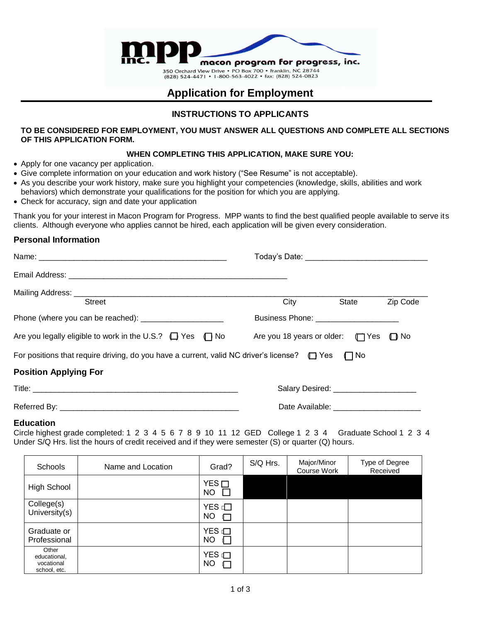

# **Application for Employment**

## **INSTRUCTIONS TO APPLICANTS**

**TO BE CONSIDERED FOR EMPLOYMENT, YOU MUST ANSWER ALL QUESTIONS AND COMPLETE ALL SECTIONS OF THIS APPLICATION FORM.**

### **WHEN COMPLETING THIS APPLICATION, MAKE SURE YOU:**

- Apply for one vacancy per application.
- Give complete information on your education and work history ("See Resume" is not acceptable).
- As you describe your work history, make sure you highlight your competencies (knowledge, skills, abilities and work behaviors) which demonstrate your qualifications for the position for which you are applying.
- Check for accuracy, sign and date your application

Thank you for your interest in Macon Program for Progress. MPP wants to find the best qualified people available to serve its clients. Although everyone who applies cannot be hired, each application will be given every consideration.

## **Personal Information**

| <b>Street</b>                                                                                                      | <b>City</b>                           | State                                 | Zip Code |  |  |  |
|--------------------------------------------------------------------------------------------------------------------|---------------------------------------|---------------------------------------|----------|--|--|--|
|                                                                                                                    | Business Phone: _____________________ |                                       |          |  |  |  |
| Are you legally eligible to work in the U.S.? $\Box$ Yes $\Box$ No Are you 18 years or older: $\Box$ Yes $\Box$ No |                                       |                                       |          |  |  |  |
| For positions that require driving, do you have a current, valid NC driver's license? $\Box$ Yes $\Box$ No         |                                       |                                       |          |  |  |  |
| <b>Position Applying For</b>                                                                                       |                                       |                                       |          |  |  |  |
|                                                                                                                    |                                       | Salary Desired: _____________________ |          |  |  |  |
|                                                                                                                    |                                       |                                       |          |  |  |  |

## **Education**

Circle highest grade completed: 1 2 3 4 5 6 7 8 9 10 11 12 GED College 1 2 3 4 Graduate School 1 2 3 4 Under S/Q Hrs. list the hours of credit received and if they were semester (S) or quarter (Q) hours.

| Schools                                             | Name and Location | Grad?                       | S/Q Hrs. | Major/Minor<br>Course Work | Type of Degree<br>Received |
|-----------------------------------------------------|-------------------|-----------------------------|----------|----------------------------|----------------------------|
| High School                                         |                   | YES<br>NO                   |          |                            |                            |
| College(s)<br>University(s)                         |                   | YES $\Box$<br>NO<br>⊓       |          |                            |                            |
| Graduate or<br>Professional                         |                   | YES i <b>□</b><br><b>NO</b> |          |                            |                            |
| Other<br>educational,<br>vocational<br>school, etc. |                   | YES <sub>I</sub><br>NO      |          |                            |                            |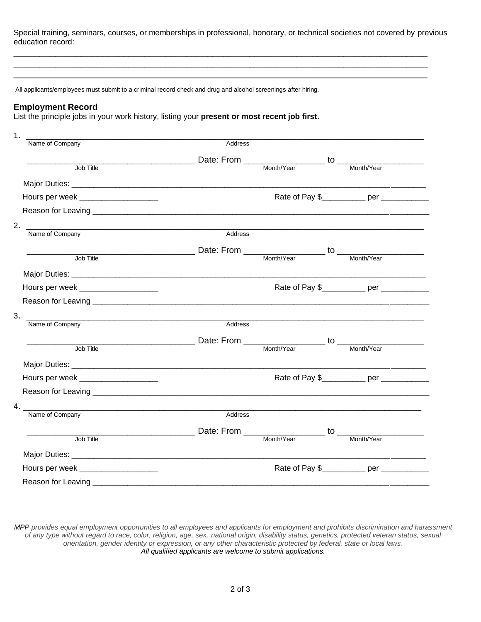Special training, seminars, courses, or memberships in professional, honorary, or technical societies not covered by previous education record:

\_\_\_\_\_\_\_\_\_\_\_\_\_\_\_\_\_\_\_\_\_\_\_\_\_\_\_\_\_\_\_\_\_\_\_\_\_\_\_\_\_\_\_\_\_\_\_\_\_\_\_\_\_\_\_\_\_\_\_\_\_\_\_\_\_\_\_\_\_\_\_\_\_\_\_\_\_\_\_ \_\_\_\_\_\_\_\_\_\_\_\_\_\_\_\_\_\_\_\_\_\_\_\_\_\_\_\_\_\_\_\_\_\_\_\_\_\_\_\_\_\_\_\_\_\_\_\_\_\_\_\_\_\_\_\_\_\_\_\_\_\_\_\_\_\_\_\_\_\_\_\_\_\_\_\_\_\_\_ \_\_\_\_\_\_\_\_\_\_\_\_\_\_\_\_\_\_\_\_\_\_\_\_\_\_\_\_\_\_\_\_\_\_\_\_\_\_\_\_\_\_\_\_\_\_\_\_\_\_\_\_\_\_\_\_\_\_\_\_\_\_\_\_\_\_\_\_\_\_\_\_\_\_\_\_\_\_\_

All applicants/employees must submit to a criminal record check and drug and alcohol screenings after hiring.

#### **Employment Record**

List the principle jobs in your work history, listing your **present or most recent job first**.

| Address |                                                                                                                                                                                                                                                                                                                        |                                                                                                                                                                                                                                                                                                                                                                                                                                                                                                                                                                                                                |
|---------|------------------------------------------------------------------------------------------------------------------------------------------------------------------------------------------------------------------------------------------------------------------------------------------------------------------------|----------------------------------------------------------------------------------------------------------------------------------------------------------------------------------------------------------------------------------------------------------------------------------------------------------------------------------------------------------------------------------------------------------------------------------------------------------------------------------------------------------------------------------------------------------------------------------------------------------------|
|         |                                                                                                                                                                                                                                                                                                                        |                                                                                                                                                                                                                                                                                                                                                                                                                                                                                                                                                                                                                |
|         |                                                                                                                                                                                                                                                                                                                        |                                                                                                                                                                                                                                                                                                                                                                                                                                                                                                                                                                                                                |
|         |                                                                                                                                                                                                                                                                                                                        |                                                                                                                                                                                                                                                                                                                                                                                                                                                                                                                                                                                                                |
|         |                                                                                                                                                                                                                                                                                                                        |                                                                                                                                                                                                                                                                                                                                                                                                                                                                                                                                                                                                                |
|         |                                                                                                                                                                                                                                                                                                                        |                                                                                                                                                                                                                                                                                                                                                                                                                                                                                                                                                                                                                |
|         |                                                                                                                                                                                                                                                                                                                        |                                                                                                                                                                                                                                                                                                                                                                                                                                                                                                                                                                                                                |
| Address |                                                                                                                                                                                                                                                                                                                        |                                                                                                                                                                                                                                                                                                                                                                                                                                                                                                                                                                                                                |
|         |                                                                                                                                                                                                                                                                                                                        |                                                                                                                                                                                                                                                                                                                                                                                                                                                                                                                                                                                                                |
|         |                                                                                                                                                                                                                                                                                                                        |                                                                                                                                                                                                                                                                                                                                                                                                                                                                                                                                                                                                                |
|         |                                                                                                                                                                                                                                                                                                                        |                                                                                                                                                                                                                                                                                                                                                                                                                                                                                                                                                                                                                |
|         |                                                                                                                                                                                                                                                                                                                        |                                                                                                                                                                                                                                                                                                                                                                                                                                                                                                                                                                                                                |
|         |                                                                                                                                                                                                                                                                                                                        |                                                                                                                                                                                                                                                                                                                                                                                                                                                                                                                                                                                                                |
|         |                                                                                                                                                                                                                                                                                                                        |                                                                                                                                                                                                                                                                                                                                                                                                                                                                                                                                                                                                                |
| Address |                                                                                                                                                                                                                                                                                                                        |                                                                                                                                                                                                                                                                                                                                                                                                                                                                                                                                                                                                                |
|         |                                                                                                                                                                                                                                                                                                                        |                                                                                                                                                                                                                                                                                                                                                                                                                                                                                                                                                                                                                |
|         |                                                                                                                                                                                                                                                                                                                        |                                                                                                                                                                                                                                                                                                                                                                                                                                                                                                                                                                                                                |
|         |                                                                                                                                                                                                                                                                                                                        |                                                                                                                                                                                                                                                                                                                                                                                                                                                                                                                                                                                                                |
|         |                                                                                                                                                                                                                                                                                                                        |                                                                                                                                                                                                                                                                                                                                                                                                                                                                                                                                                                                                                |
|         |                                                                                                                                                                                                                                                                                                                        |                                                                                                                                                                                                                                                                                                                                                                                                                                                                                                                                                                                                                |
|         |                                                                                                                                                                                                                                                                                                                        |                                                                                                                                                                                                                                                                                                                                                                                                                                                                                                                                                                                                                |
| Address |                                                                                                                                                                                                                                                                                                                        |                                                                                                                                                                                                                                                                                                                                                                                                                                                                                                                                                                                                                |
|         |                                                                                                                                                                                                                                                                                                                        |                                                                                                                                                                                                                                                                                                                                                                                                                                                                                                                                                                                                                |
|         |                                                                                                                                                                                                                                                                                                                        |                                                                                                                                                                                                                                                                                                                                                                                                                                                                                                                                                                                                                |
|         |                                                                                                                                                                                                                                                                                                                        |                                                                                                                                                                                                                                                                                                                                                                                                                                                                                                                                                                                                                |
|         |                                                                                                                                                                                                                                                                                                                        |                                                                                                                                                                                                                                                                                                                                                                                                                                                                                                                                                                                                                |
|         |                                                                                                                                                                                                                                                                                                                        |                                                                                                                                                                                                                                                                                                                                                                                                                                                                                                                                                                                                                |
|         | 2. $\frac{1}{2}$ $\frac{1}{2}$ $\frac{1}{2}$ $\frac{1}{2}$ $\frac{1}{2}$ $\frac{1}{2}$ $\frac{1}{2}$ $\frac{1}{2}$ $\frac{1}{2}$ $\frac{1}{2}$ $\frac{1}{2}$ $\frac{1}{2}$ $\frac{1}{2}$ $\frac{1}{2}$ $\frac{1}{2}$ $\frac{1}{2}$ $\frac{1}{2}$ $\frac{1}{2}$ $\frac{1}{2}$ $\frac{1}{2}$ $\frac{1}{2}$ $\frac{1}{2}$ | $\frac{1}{\sqrt{10}}$ Title $\frac{1}{\sqrt{10}}$ Title $\frac{1}{\sqrt{10}}$ Date: From $\frac{1}{\sqrt{10}}$ Month/Year $\frac{1}{\sqrt{10}}$ Month/Year $\frac{1}{\sqrt{10}}$<br>Rate of Pay \$___________ per ___________<br>Rate of Pay \$___________ per ____________<br>Job Title <b>The Contract Contract Contract Contract Contract Contract Contract Contract Contract Contract Contract Contract Contract Contract Contract Contract Contract Contract Contract Contract Contract Contract Contract </b><br>Rate of Pay \$___________ per ___________<br>Rate of Pay \$___________ per ____________ |

*MPP provides equal employment opportunities to all employees and applicants for employment and prohibits discrimination and harassment of any type without regard to race, color, religion, age, sex, national origin, disability status, genetics, protected veteran status, sexual orientation, gender identity or expression, or any other characteristic protected by federal, state or local laws. All qualified applicants are welcome to submit applications.*